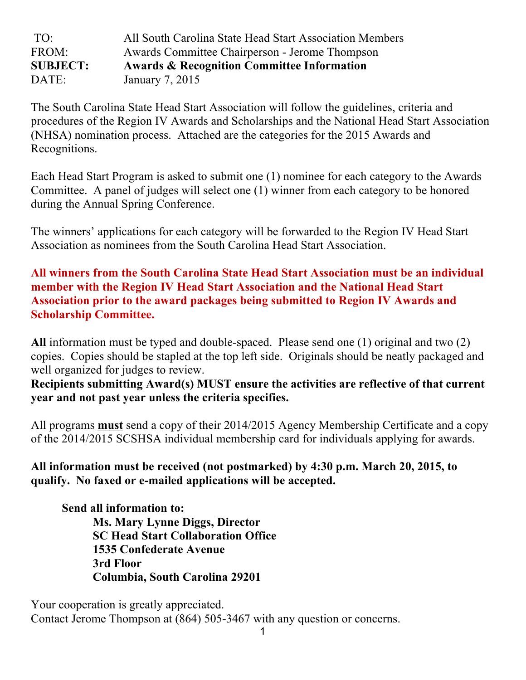| TO:             | All South Carolina State Head Start Association Members |
|-----------------|---------------------------------------------------------|
| FROM:           | Awards Committee Chairperson - Jerome Thompson          |
|                 |                                                         |
| <b>SUBJECT:</b> | <b>Awards &amp; Recognition Committee Information</b>   |

The South Carolina State Head Start Association will follow the guidelines, criteria and procedures of the Region IV Awards and Scholarships and the National Head Start Association (NHSA) nomination process. Attached are the categories for the 2015 Awards and Recognitions.

Each Head Start Program is asked to submit one (1) nominee for each category to the Awards Committee. A panel of judges will select one (1) winner from each category to be honored during the Annual Spring Conference.

The winners' applications for each category will be forwarded to the Region IV Head Start Association as nominees from the South Carolina Head Start Association.

**All winners from the South Carolina State Head Start Association must be an individual member with the Region IV Head Start Association and the National Head Start Association prior to the award packages being submitted to Region IV Awards and Scholarship Committee.**

**All** information must be typed and double-spaced. Please send one (1) original and two (2) copies. Copies should be stapled at the top left side. Originals should be neatly packaged and well organized for judges to review.

**Recipients submitting Award(s) MUST ensure the activities are reflective of that current year and not past year unless the criteria specifies.** 

All programs **must** send a copy of their 2014/2015 Agency Membership Certificate and a copy of the 2014/2015 SCSHSA individual membership card for individuals applying for awards.

**All information must be received (not postmarked) by 4:30 p.m. March 20, 2015, to qualify. No faxed or e-mailed applications will be accepted.**

**Send all information to: Ms. Mary Lynne Diggs, Director SC Head Start Collaboration Office 1535 Confederate Avenue 3rd Floor Columbia, South Carolina 29201**

Your cooperation is greatly appreciated. Contact Jerome Thompson at (864) 505-3467 with any question or concerns.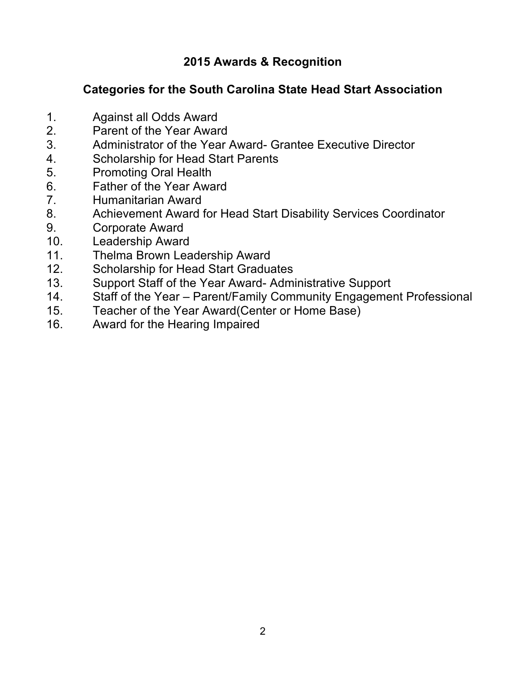## **2015 Awards & Recognition**

## **Categories for the South Carolina State Head Start Association**

- 1. Against all Odds Award
- 2. Parent of the Year Award
- 3. Administrator of the Year Award- Grantee Executive Director
- 4. Scholarship for Head Start Parents
- 5. Promoting Oral Health
- 6. Father of the Year Award
- 7. Humanitarian Award
- 8. Achievement Award for Head Start Disability Services Coordinator
- 9. Corporate Award
- 10. Leadership Award
- 11. Thelma Brown Leadership Award
- 12. Scholarship for Head Start Graduates
- 13. Support Staff of the Year Award- Administrative Support
- 14. Staff of the Year Parent/Family Community Engagement Professional
- 15. Teacher of the Year Award(Center or Home Base)
- 16. Award for the Hearing Impaired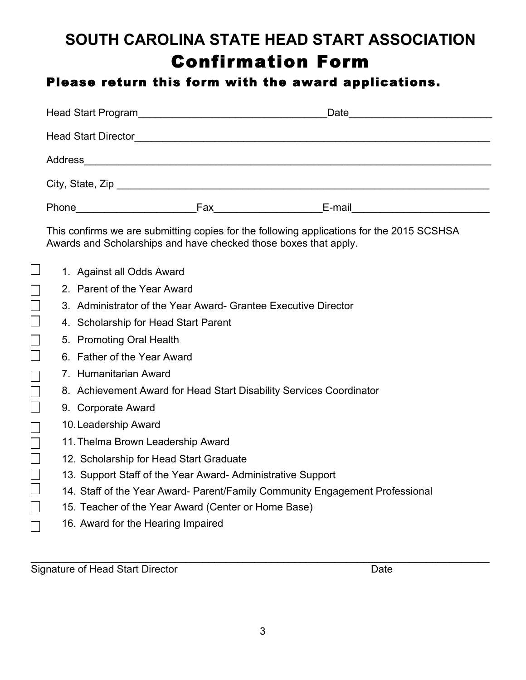# **SOUTH CAROLINA STATE HEAD START ASSOCIATION** Confirmation Form

## Please return this form with the award applications.

|                            |                                                                                                                                                                                                                                      | Date <u>__________________________</u> |
|----------------------------|--------------------------------------------------------------------------------------------------------------------------------------------------------------------------------------------------------------------------------------|----------------------------------------|
| <b>Head Start Director</b> | <u>and the state of the state of the state of the state of the state of the state of the state of the state of the state of the state of the state of the state of the state of the state of the state of the state of the state</u> |                                        |
|                            |                                                                                                                                                                                                                                      |                                        |
|                            |                                                                                                                                                                                                                                      |                                        |
| Phone _________________    | Fax<br><u> 1989 - Jan Jawa</u>                                                                                                                                                                                                       | E-mail                                 |

This confirms we are submitting copies for the following applications for the 2015 SCSHSA Awards and Scholarships and have checked those boxes that apply.

1. Against all Odds Award

 $\Box$ 

П  $\Box$ П

П П

П П П

П П П П  $\Box$ 

П

 $\Box$ 

- 2. Parent of the Year Award
- 3. Administrator of the Year Award- Grantee Executive Director
- 4. Scholarship for Head Start Parent
- 5. Promoting Oral Health
- 6. Father of the Year Award
- 7. Humanitarian Award
- 8. Achievement Award for Head Start Disability Services Coordinator
- 9. Corporate Award
- 10.Leadership Award
- 11.Thelma Brown Leadership Award
- 12. Scholarship for Head Start Graduate
- 13. Support Staff of the Year Award- Administrative Support
- 14. Staff of the Year Award- Parent/Family Community Engagement Professional
- 15. Teacher of the Year Award (Center or Home Base)
- 16. Award for the Hearing Impaired

Signature of Head Start Director **Date** Date Date

\_\_\_\_\_\_\_\_\_\_\_\_\_\_\_\_\_\_\_\_\_\_\_\_\_\_\_\_\_\_\_\_\_\_\_\_\_\_\_\_\_\_\_\_\_\_\_\_\_\_\_\_\_\_\_\_\_\_\_\_\_\_\_\_\_\_\_\_\_\_\_\_\_\_\_\_\_\_\_\_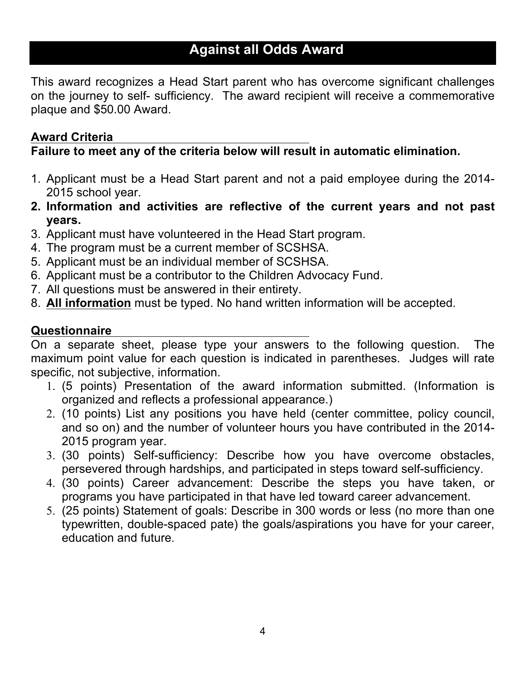## **Against all Odds Award**

This award recognizes a Head Start parent who has overcome significant challenges on the journey to self- sufficiency. The award recipient will receive a commemorative plaque and \$50.00 Award.

## **Award Criteria**

## **Failure to meet any of the criteria below will result in automatic elimination.**

- 1. Applicant must be a Head Start parent and not a paid employee during the 2014- 2015 school year.
- **2. Information and activities are reflective of the current years and not past years.**
- 3. Applicant must have volunteered in the Head Start program.
- 4. The program must be a current member of SCSHSA.
- 5. Applicant must be an individual member of SCSHSA.
- 6. Applicant must be a contributor to the Children Advocacy Fund.
- 7. All questions must be answered in their entirety.
- 8. **All information** must be typed. No hand written information will be accepted.

## **Questionnaire**

On a separate sheet, please type your answers to the following question. The maximum point value for each question is indicated in parentheses. Judges will rate specific, not subjective, information.

- 1. (5 points) Presentation of the award information submitted. (Information is organized and reflects a professional appearance.)
- 2. (10 points) List any positions you have held (center committee, policy council, and so on) and the number of volunteer hours you have contributed in the 2014- 2015 program year.
- 3. (30 points) Self-sufficiency: Describe how you have overcome obstacles, persevered through hardships, and participated in steps toward self-sufficiency.
- 4. (30 points) Career advancement: Describe the steps you have taken, or programs you have participated in that have led toward career advancement.
- 5. (25 points) Statement of goals: Describe in 300 words or less (no more than one typewritten, double-spaced pate) the goals/aspirations you have for your career, education and future.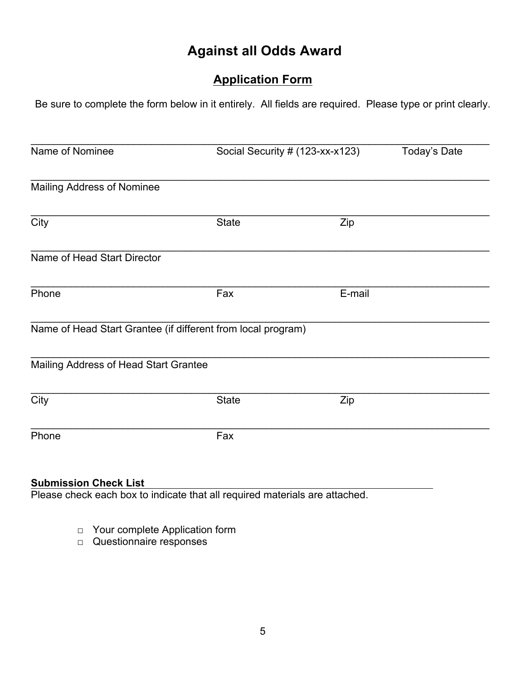## **Against all Odds Award**

## **Application Form**

Be sure to complete the form below in it entirely. All fields are required. Please type or print clearly.

| Name of Nominee                       |                                                              | Social Security # (123-xx-x123) | Today's Date |
|---------------------------------------|--------------------------------------------------------------|---------------------------------|--------------|
| Mailing Address of Nominee            |                                                              |                                 |              |
| City                                  | <b>State</b>                                                 | Zip                             |              |
|                                       |                                                              |                                 |              |
| Name of Head Start Director           |                                                              |                                 |              |
| Phone                                 | Fax                                                          | E-mail                          |              |
|                                       | Name of Head Start Grantee (if different from local program) |                                 |              |
| Mailing Address of Head Start Grantee |                                                              |                                 |              |
| City                                  | <b>State</b>                                                 | Zip                             |              |
| Phone                                 | Fax                                                          |                                 |              |
|                                       |                                                              |                                 |              |

#### **Submission Check List**

Please check each box to indicate that all required materials are attached.

- □ Your complete Application form
- □ Questionnaire responses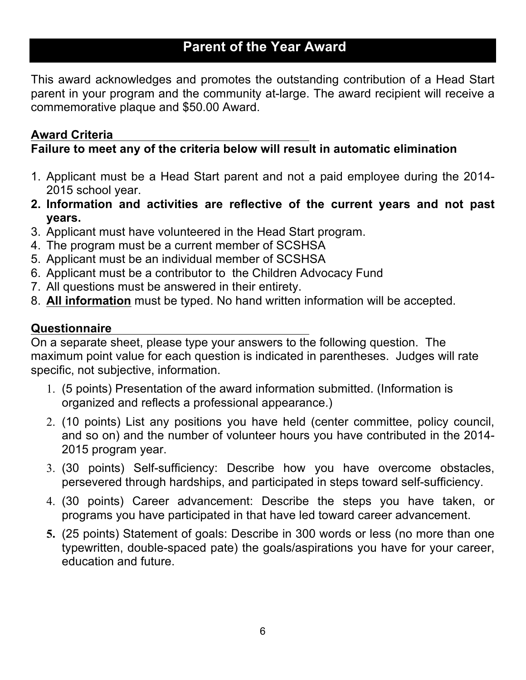## **Parent of the Year Award**

This award acknowledges and promotes the outstanding contribution of a Head Start parent in your program and the community at-large. The award recipient will receive a commemorative plaque and \$50.00 Award.

### **Award Criteria**

## **Failure to meet any of the criteria below will result in automatic elimination**

- 1. Applicant must be a Head Start parent and not a paid employee during the 2014- 2015 school year.
- **2. Information and activities are reflective of the current years and not past years.**
- 3. Applicant must have volunteered in the Head Start program.
- 4. The program must be a current member of SCSHSA
- 5. Applicant must be an individual member of SCSHSA
- 6. Applicant must be a contributor to the Children Advocacy Fund
- 7. All questions must be answered in their entirety.
- 8. **All information** must be typed. No hand written information will be accepted.

### **Questionnaire**

On a separate sheet, please type your answers to the following question. The maximum point value for each question is indicated in parentheses. Judges will rate specific, not subjective, information.

- 1. (5 points) Presentation of the award information submitted. (Information is organized and reflects a professional appearance.)
- 2. (10 points) List any positions you have held (center committee, policy council, and so on) and the number of volunteer hours you have contributed in the 2014- 2015 program year.
- 3. (30 points) Self-sufficiency: Describe how you have overcome obstacles, persevered through hardships, and participated in steps toward self-sufficiency.
- 4. (30 points) Career advancement: Describe the steps you have taken, or programs you have participated in that have led toward career advancement.
- **5.** (25 points) Statement of goals: Describe in 300 words or less (no more than one typewritten, double-spaced pate) the goals/aspirations you have for your career, education and future.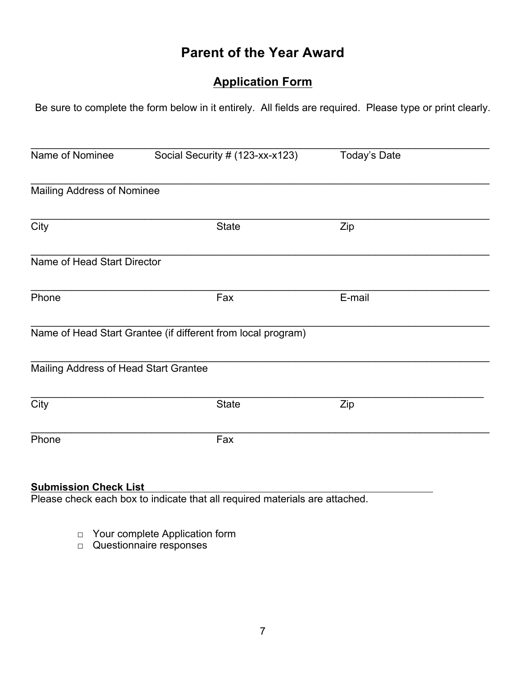## **Parent of the Year Award**

## **Application Form**

Be sure to complete the form below in it entirely. All fields are required. Please type or print clearly.

| Name of Nominee                       | Social Security # (123-xx-x123)                              | Today's Date |  |
|---------------------------------------|--------------------------------------------------------------|--------------|--|
| <b>Mailing Address of Nominee</b>     |                                                              |              |  |
| City                                  | <b>State</b>                                                 | Zip          |  |
| Name of Head Start Director           |                                                              |              |  |
| Phone                                 | Fax                                                          | E-mail       |  |
|                                       | Name of Head Start Grantee (if different from local program) |              |  |
| Mailing Address of Head Start Grantee |                                                              |              |  |
| City                                  | <b>State</b>                                                 | Zip          |  |
| Phone                                 | Fax                                                          |              |  |
|                                       |                                                              |              |  |

#### **Submission Check List**

Please check each box to indicate that all required materials are attached.

- □ Your complete Application form
- □ Questionnaire responses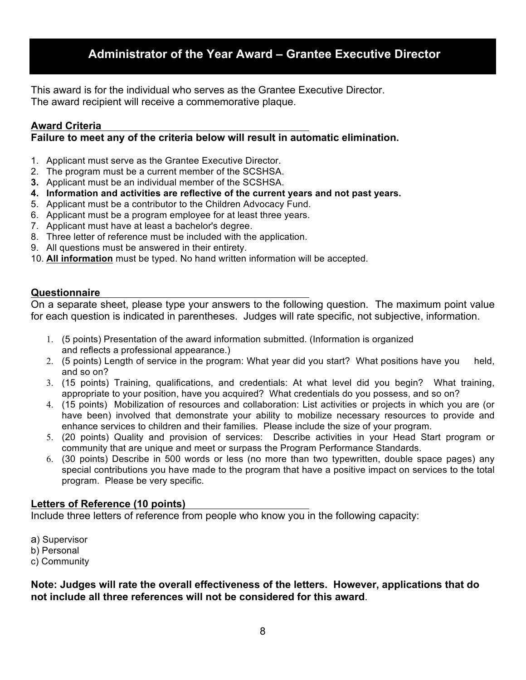### **Administrator of the Year Award – Grantee Executive Director**

This award is for the individual who serves as the Grantee Executive Director. The award recipient will receive a commemorative plaque.

#### **Award Criteria**

**Failure to meet any of the criteria below will result in automatic elimination.** 

- 1. Applicant must serve as the Grantee Executive Director.
- 2. The program must be a current member of the SCSHSA.
- **3.** Applicant must be an individual member of the SCSHSA.
- **4. Information and activities are reflective of the current years and not past years.**
- 5. Applicant must be a contributor to the Children Advocacy Fund.
- 6. Applicant must be a program employee for at least three years.
- 7. Applicant must have at least a bachelor's degree.
- 8. Three letter of reference must be included with the application.
- 9. All questions must be answered in their entirety.
- 10. **All information** must be typed. No hand written information will be accepted.

#### **Questionnaire**

On a separate sheet, please type your answers to the following question. The maximum point value for each question is indicated in parentheses. Judges will rate specific, not subjective, information.

- 1. (5 points) Presentation of the award information submitted. (Information is organized and reflects a professional appearance.)
- 2. (5 points) Length of service in the program: What year did you start? What positions have you held, and so on?
- 3. (15 points) Training, qualifications, and credentials: At what level did you begin? What training, appropriate to your position, have you acquired? What credentials do you possess, and so on?
- 4. (15 points) Mobilization of resources and collaboration: List activities or projects in which you are (or have been) involved that demonstrate your ability to mobilize necessary resources to provide and enhance services to children and their families. Please include the size of your program.
- 5. (20 points) Quality and provision of services: Describe activities in your Head Start program or community that are unique and meet or surpass the Program Performance Standards.
- 6. (30 points) Describe in 500 words or less (no more than two typewritten, double space pages) any special contributions you have made to the program that have a positive impact on services to the total program. Please be very specific.

#### **Letters of Reference (10 points)**

Include three letters of reference from people who know you in the following capacity:

a) Supervisor b) Personal c) Community

**Note: Judges will rate the overall effectiveness of the letters. However, applications that do not include all three references will not be considered for this award**.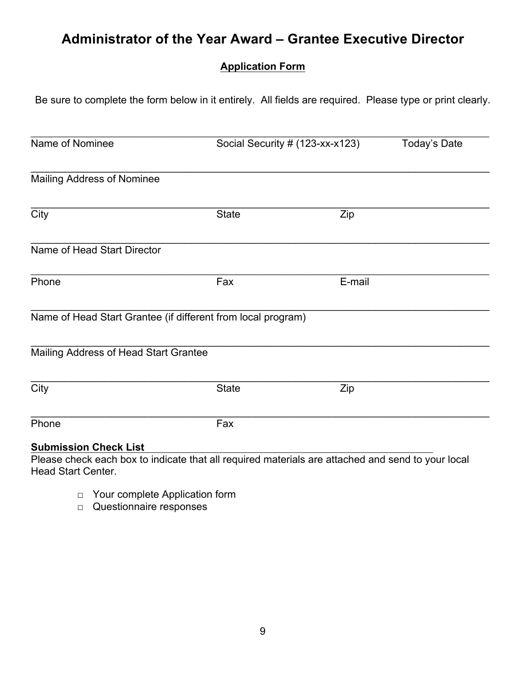## **Administrator of the Year Award – Grantee Executive Director**

### **Application Form**

Be sure to complete the form below in it entirely. All fields are required. Please type or print clearly.

| Name of Nominee                                                                                   | Social Security # (123-xx-x123) |        | Today's Date |
|---------------------------------------------------------------------------------------------------|---------------------------------|--------|--------------|
| <b>Mailing Address of Nominee</b>                                                                 |                                 |        |              |
| $\overline{City}$                                                                                 | <b>State</b>                    | Zip    |              |
| Name of Head Start Director                                                                       |                                 |        |              |
| Phone                                                                                             | Fax                             | E-mail |              |
| Name of Head Start Grantee (if different from local program)                                      |                                 |        |              |
| Mailing Address of Head Start Grantee                                                             |                                 |        |              |
| City                                                                                              | <b>State</b>                    | Zip    |              |
| Phone                                                                                             | Fax                             |        |              |
| <b>Submission Check List</b>                                                                      |                                 |        |              |
| Please check each box to indicate that all required materials are attached and send to your local |                                 |        |              |

Head Start Center.

- □ Your complete Application form
- □ Questionnaire responses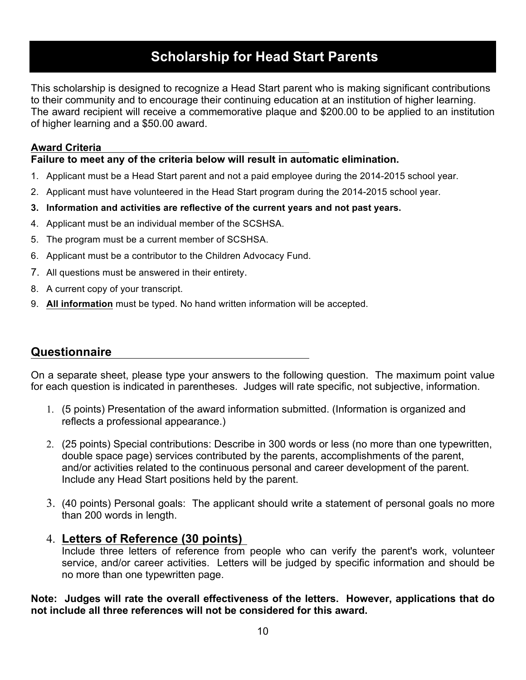## **Scholarship for Head Start Parents**

This scholarship is designed to recognize a Head Start parent who is making significant contributions to their community and to encourage their continuing education at an institution of higher learning. The award recipient will receive a commemorative plaque and \$200.00 to be applied to an institution of higher learning and a \$50.00 award.

#### **Award Criteria**

#### **Failure to meet any of the criteria below will result in automatic elimination.**

- 1. Applicant must be a Head Start parent and not a paid employee during the 2014-2015 school year.
- 2. Applicant must have volunteered in the Head Start program during the 2014-2015 school year.
- **3. Information and activities are reflective of the current years and not past years.**
- 4. Applicant must be an individual member of the SCSHSA.
- 5. The program must be a current member of SCSHSA.
- 6. Applicant must be a contributor to the Children Advocacy Fund.
- 7. All questions must be answered in their entirety.
- 8. A current copy of your transcript.
- 9. **All information** must be typed. No hand written information will be accepted.

### **Questionnaire**

On a separate sheet, please type your answers to the following question. The maximum point value for each question is indicated in parentheses. Judges will rate specific, not subjective, information.

- 1. (5 points) Presentation of the award information submitted. (Information is organized and reflects a professional appearance.)
- 2. (25 points) Special contributions: Describe in 300 words or less (no more than one typewritten, double space page) services contributed by the parents, accomplishments of the parent, and/or activities related to the continuous personal and career development of the parent. Include any Head Start positions held by the parent.
- 3. (40 points) Personal goals: The applicant should write a statement of personal goals no more than 200 words in length.

#### 4. **Letters of Reference (30 points)**

Include three letters of reference from people who can verify the parent's work, volunteer service, and/or career activities. Letters will be judged by specific information and should be no more than one typewritten page.

**Note: Judges will rate the overall effectiveness of the letters. However, applications that do not include all three references will not be considered for this award.**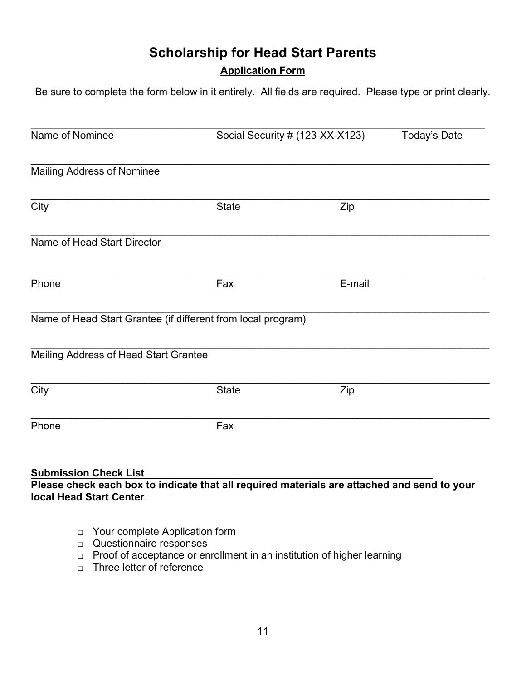## **Scholarship for Head Start Parents**

### **Application Form**

Be sure to complete the form below in it entirely. All fields are required. Please type or print clearly.

| Name of Nominee                                              |              | Social Security # (123-XX-X123) | Today's Date |
|--------------------------------------------------------------|--------------|---------------------------------|--------------|
| <b>Mailing Address of Nominee</b>                            |              |                                 |              |
| City                                                         | <b>State</b> | Zip                             |              |
| Name of Head Start Director                                  |              |                                 |              |
| Phone                                                        | Fax          | E-mail                          |              |
| Name of Head Start Grantee (if different from local program) |              |                                 |              |
| Mailing Address of Head Start Grantee                        |              |                                 |              |
| City                                                         | <b>State</b> | Zip                             |              |
| Phone                                                        | Fax          |                                 |              |
| <b>Submission Check List</b>                                 |              |                                 |              |

**Please check each box to indicate that all required materials are attached and send to your local Head Start Center**.

- □ Your complete Application form
- □ Questionnaire responses
- □ Proof of acceptance or enrollment in an institution of higher learning
- □ Three letter of reference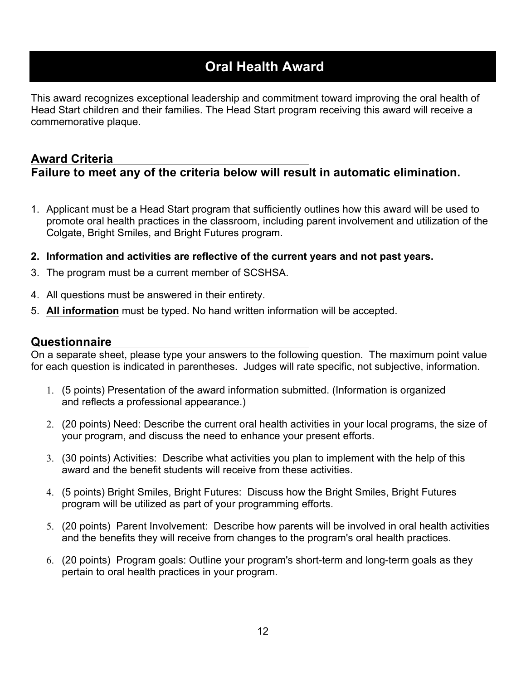## **Oral Health Award**

This award recognizes exceptional leadership and commitment toward improving the oral health of Head Start children and their families. The Head Start program receiving this award will receive a commemorative plaque.

### **Award Criteria Failure to meet any of the criteria below will result in automatic elimination.**

- 1. Applicant must be a Head Start program that sufficiently outlines how this award will be used to promote oral health practices in the classroom, including parent involvement and utilization of the Colgate, Bright Smiles, and Bright Futures program.
- **2. Information and activities are reflective of the current years and not past years.**
- 3. The program must be a current member of SCSHSA.
- 4. All questions must be answered in their entirety.
- 5. **All information** must be typed. No hand written information will be accepted.

#### **Questionnaire**

On a separate sheet, please type your answers to the following question. The maximum point value for each question is indicated in parentheses. Judges will rate specific, not subjective, information.

- 1. (5 points) Presentation of the award information submitted. (Information is organized and reflects a professional appearance.)
- 2. (20 points) Need: Describe the current oral health activities in your local programs, the size of your program, and discuss the need to enhance your present efforts.
- 3. (30 points) Activities: Describe what activities you plan to implement with the help of this award and the benefit students will receive from these activities.
- 4. (5 points) Bright Smiles, Bright Futures: Discuss how the Bright Smiles, Bright Futures program will be utilized as part of your programming efforts.
- 5. (20 points) Parent Involvement: Describe how parents will be involved in oral health activities and the benefits they will receive from changes to the program's oral health practices.
- 6. (20 points) Program goals: Outline your program's short-term and long-term goals as they pertain to oral health practices in your program.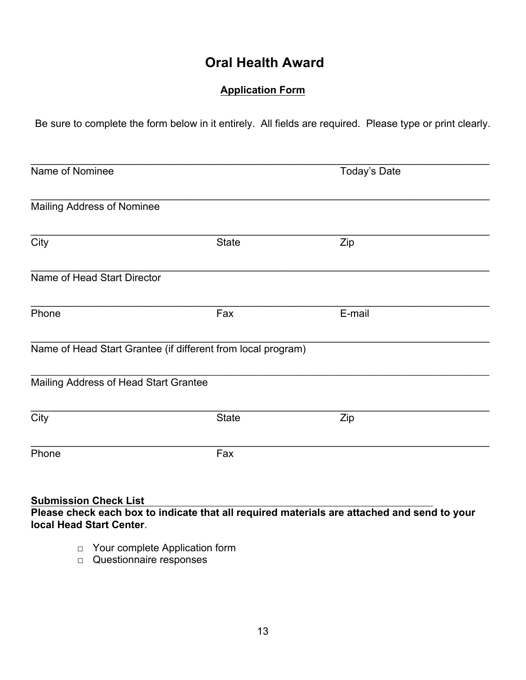## **Oral Health Award**

#### **Application Form**

Be sure to complete the form below in it entirely. All fields are required. Please type or print clearly.

| Name of Nominee                       |                                                              | Today's Date |  |
|---------------------------------------|--------------------------------------------------------------|--------------|--|
| <b>Mailing Address of Nominee</b>     |                                                              |              |  |
| City                                  | <b>State</b>                                                 | Zip          |  |
| Name of Head Start Director           |                                                              |              |  |
| Phone                                 | Fax                                                          | E-mail       |  |
|                                       | Name of Head Start Grantee (if different from local program) |              |  |
| Mailing Address of Head Start Grantee |                                                              |              |  |
| City                                  | <b>State</b>                                                 | Zip          |  |
| Phone                                 | Fax                                                          |              |  |
|                                       |                                                              |              |  |

#### **Submission Check List Please check each box to indicate that all required materials are attached and send to your local Head Start Center**.

- □ Your complete Application form
- □ Questionnaire responses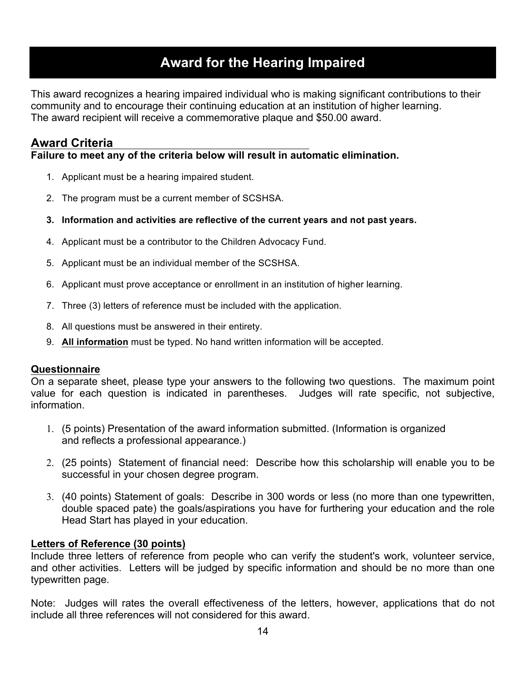## **Award for the Hearing Impaired**

This award recognizes a hearing impaired individual who is making significant contributions to their community and to encourage their continuing education at an institution of higher learning. The award recipient will receive a commemorative plaque and \$50.00 award.

### **Award Criteria**

**Failure to meet any of the criteria below will result in automatic elimination.** 

- 1. Applicant must be a hearing impaired student.
- 2. The program must be a current member of SCSHSA.
- **3. Information and activities are reflective of the current years and not past years.**
- 4. Applicant must be a contributor to the Children Advocacy Fund.
- 5. Applicant must be an individual member of the SCSHSA.
- 6. Applicant must prove acceptance or enrollment in an institution of higher learning.
- 7. Three (3) letters of reference must be included with the application.
- 8. All questions must be answered in their entirety.
- 9. **All information** must be typed. No hand written information will be accepted.

#### **Questionnaire**

On a separate sheet, please type your answers to the following two questions. The maximum point value for each question is indicated in parentheses. Judges will rate specific, not subjective, information.

- 1. (5 points) Presentation of the award information submitted. (Information is organized and reflects a professional appearance.)
- 2. (25 points) Statement of financial need: Describe how this scholarship will enable you to be successful in your chosen degree program.
- 3. (40 points) Statement of goals: Describe in 300 words or less (no more than one typewritten, double spaced pate) the goals/aspirations you have for furthering your education and the role Head Start has played in your education.

#### **Letters of Reference (30 points)**

Include three letters of reference from people who can verify the student's work, volunteer service, and other activities. Letters will be judged by specific information and should be no more than one typewritten page.

Note: Judges will rates the overall effectiveness of the letters, however, applications that do not include all three references will not considered for this award.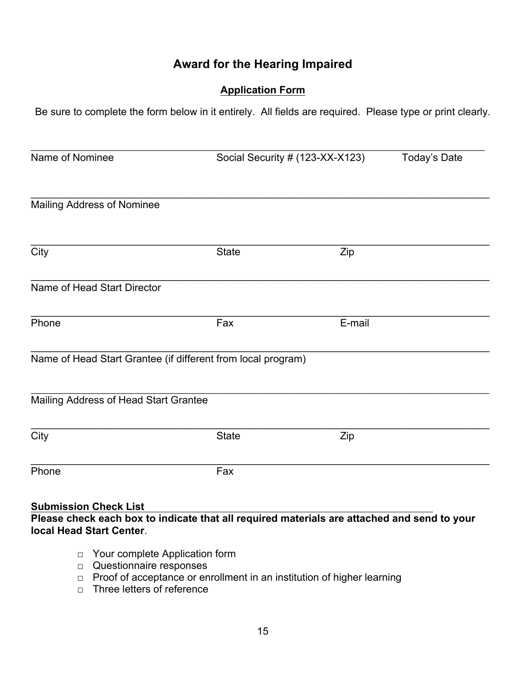## **Award for the Hearing Impaired**

#### **Application Form**

Be sure to complete the form below in it entirely. All fields are required. Please type or print clearly.

| Name of Nominee                                                                                                                                         |              | Social Security # (123-XX-X123) | Today's Date |  |
|---------------------------------------------------------------------------------------------------------------------------------------------------------|--------------|---------------------------------|--------------|--|
| Mailing Address of Nominee                                                                                                                              |              |                                 |              |  |
| City                                                                                                                                                    | <b>State</b> | Zip                             |              |  |
| Name of Head Start Director                                                                                                                             |              |                                 |              |  |
| Phone                                                                                                                                                   | Fax          | E-mail                          |              |  |
| Name of Head Start Grantee (if different from local program)                                                                                            |              |                                 |              |  |
| Mailing Address of Head Start Grantee                                                                                                                   |              |                                 |              |  |
| $\overline{City}$                                                                                                                                       | <b>State</b> | Zip                             |              |  |
| Phone                                                                                                                                                   | Fax          |                                 |              |  |
| <b>Submission Check List</b><br>Please check each box to indicate that all required materials are attached and send to your<br>local Head Start Center. |              |                                 |              |  |
| Your complete Application form<br>$\Box$<br>Questionnaire responses<br>□                                                                                |              |                                 |              |  |

- □ Proof of acceptance or enrollment in an institution of higher learning
- □ Three letters of reference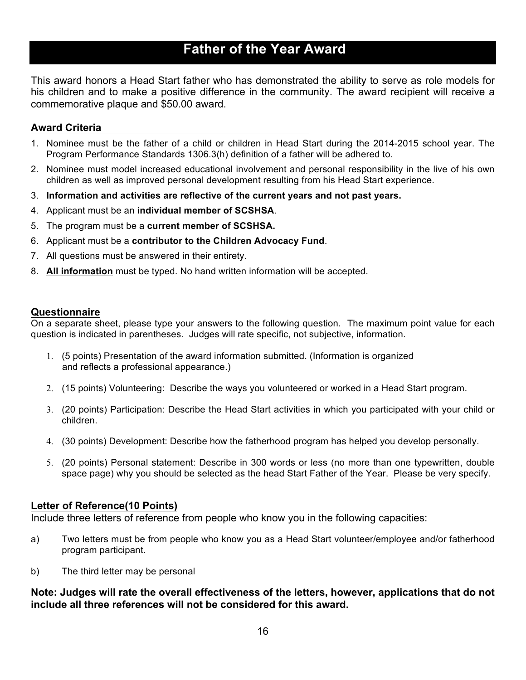## **Father of the Year Award**

This award honors a Head Start father who has demonstrated the ability to serve as role models for his children and to make a positive difference in the community. The award recipient will receive a commemorative plaque and \$50.00 award.

#### **Award Criteria**

- 1. Nominee must be the father of a child or children in Head Start during the 2014-2015 school year. The Program Performance Standards 1306.3(h) definition of a father will be adhered to.
- 2. Nominee must model increased educational involvement and personal responsibility in the live of his own children as well as improved personal development resulting from his Head Start experience.
- 3. **Information and activities are reflective of the current years and not past years.**
- 4. Applicant must be an **individual member of SCSHSA**.
- 5. The program must be a **current member of SCSHSA.**
- 6. Applicant must be a **contributor to the Children Advocacy Fund**.
- 7. All questions must be answered in their entirety.
- 8. **All information** must be typed. No hand written information will be accepted.

#### **Questionnaire**

On a separate sheet, please type your answers to the following question. The maximum point value for each question is indicated in parentheses. Judges will rate specific, not subjective, information.

- 1. (5 points) Presentation of the award information submitted. (Information is organized and reflects a professional appearance.)
- 2. (15 points) Volunteering: Describe the ways you volunteered or worked in a Head Start program.
- 3. (20 points) Participation: Describe the Head Start activities in which you participated with your child or children.
- 4. (30 points) Development: Describe how the fatherhood program has helped you develop personally.
- 5. (20 points) Personal statement: Describe in 300 words or less (no more than one typewritten, double space page) why you should be selected as the head Start Father of the Year. Please be very specify.

#### **Letter of Reference(10 Points)**

Include three letters of reference from people who know you in the following capacities:

- a) Two letters must be from people who know you as a Head Start volunteer/employee and/or fatherhood program participant.
- b) The third letter may be personal

#### **Note: Judges will rate the overall effectiveness of the letters, however, applications that do not include all three references will not be considered for this award.**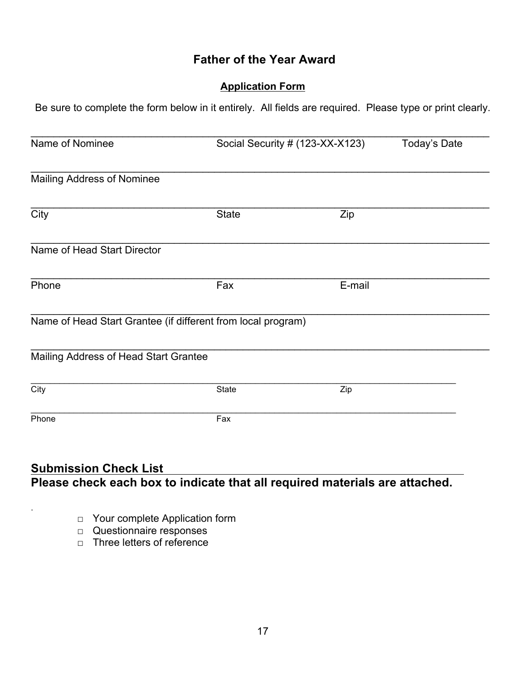## **Father of the Year Award**

### **Application Form**

Be sure to complete the form below in it entirely. All fields are required. Please type or print clearly.

| Name of Nominee                       |                                                              | Social Security # (123-XX-X123) | Today's Date |
|---------------------------------------|--------------------------------------------------------------|---------------------------------|--------------|
| <b>Mailing Address of Nominee</b>     |                                                              |                                 |              |
| $\overline{City}$                     | <b>State</b>                                                 | Zip                             |              |
| Name of Head Start Director           |                                                              |                                 |              |
| Phone                                 | Fax                                                          | E-mail                          |              |
|                                       | Name of Head Start Grantee (if different from local program) |                                 |              |
| Mailing Address of Head Start Grantee |                                                              |                                 |              |
| City                                  | <b>State</b>                                                 | Zip                             |              |
| Phone                                 | Fax                                                          |                                 |              |

### **Submission Check List Please check each box to indicate that all required materials are attached.**

- □ Your complete Application form
- □ Questionnaire responses

.

□ Three letters of reference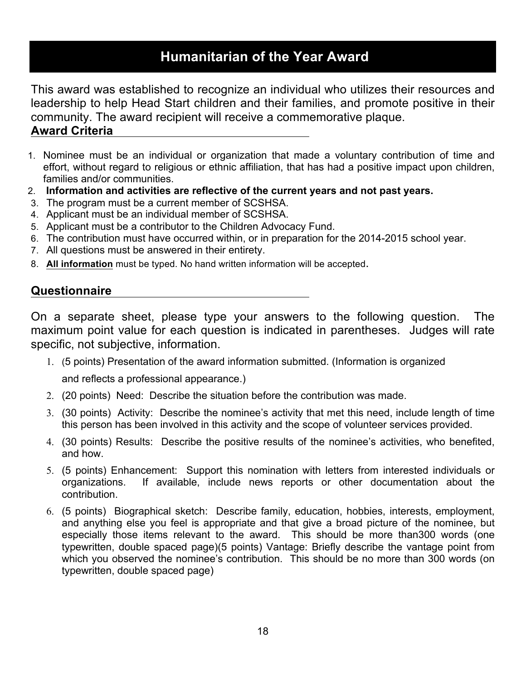## **Humanitarian of the Year Award**

This award was established to recognize an individual who utilizes their resources and leadership to help Head Start children and their families, and promote positive in their community. The award recipient will receive a commemorative plaque.

## **Award Criteria**

- 1. Nominee must be an individual or organization that made a voluntary contribution of time and effort, without regard to religious or ethnic affiliation, that has had a positive impact upon children, families and/or communities.
- 2. **Information and activities are reflective of the current years and not past years.**
- 3. The program must be a current member of SCSHSA.
- 4. Applicant must be an individual member of SCSHSA.
- 5. Applicant must be a contributor to the Children Advocacy Fund.
- 6. The contribution must have occurred within, or in preparation for the 2014-2015 school year.
- 7. All questions must be answered in their entirety.
- 8. **All information** must be typed. No hand written information will be accepted.

## **Questionnaire**

On a separate sheet, please type your answers to the following question. The maximum point value for each question is indicated in parentheses. Judges will rate specific, not subjective, information.

- 1. (5 points) Presentation of the award information submitted. (Information is organized and reflects a professional appearance.)
- 2. (20 points) Need: Describe the situation before the contribution was made.
- 3. (30 points) Activity: Describe the nominee's activity that met this need, include length of time this person has been involved in this activity and the scope of volunteer services provided.
- 4. (30 points) Results: Describe the positive results of the nominee's activities, who benefited, and how.
- 5. (5 points) Enhancement: Support this nomination with letters from interested individuals or organizations. If available, include news reports or other documentation about the contribution.
- 6. (5 points) Biographical sketch: Describe family, education, hobbies, interests, employment, and anything else you feel is appropriate and that give a broad picture of the nominee, but especially those items relevant to the award. This should be more than300 words (one typewritten, double spaced page)(5 points) Vantage: Briefly describe the vantage point from which you observed the nominee's contribution. This should be no more than 300 words (on typewritten, double spaced page)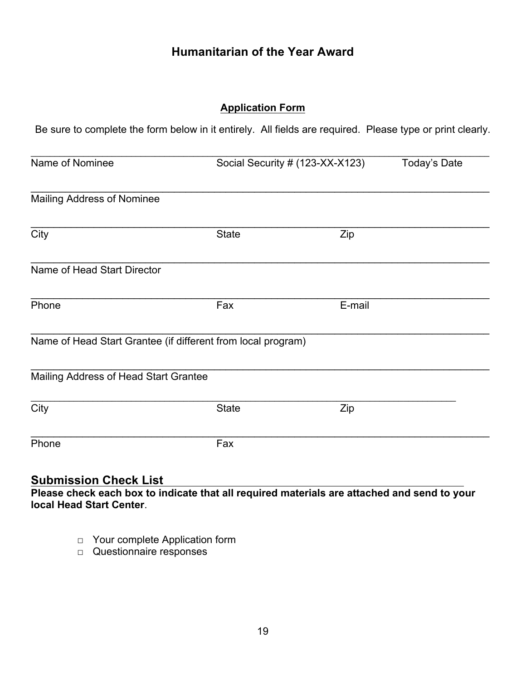## **Humanitarian of the Year Award**

#### **Application Form**

Be sure to complete the form below in it entirely. All fields are required. Please type or print clearly.

| Name of Nominee                                              |              | Social Security # (123-XX-X123) | Today's Date |
|--------------------------------------------------------------|--------------|---------------------------------|--------------|
| Mailing Address of Nominee                                   |              |                                 |              |
| $\overline{City}$                                            | <b>State</b> | Zip                             |              |
| Name of Head Start Director                                  |              |                                 |              |
| Phone                                                        | Fax          | E-mail                          |              |
| Name of Head Start Grantee (if different from local program) |              |                                 |              |
| Mailing Address of Head Start Grantee                        |              |                                 |              |
| City                                                         | <b>State</b> | Zip                             |              |
| Phone                                                        | Fax          |                                 |              |

### **Submission Check List**

**Please check each box to indicate that all required materials are attached and send to your local Head Start Center**.

- □ Your complete Application form
- □ Questionnaire responses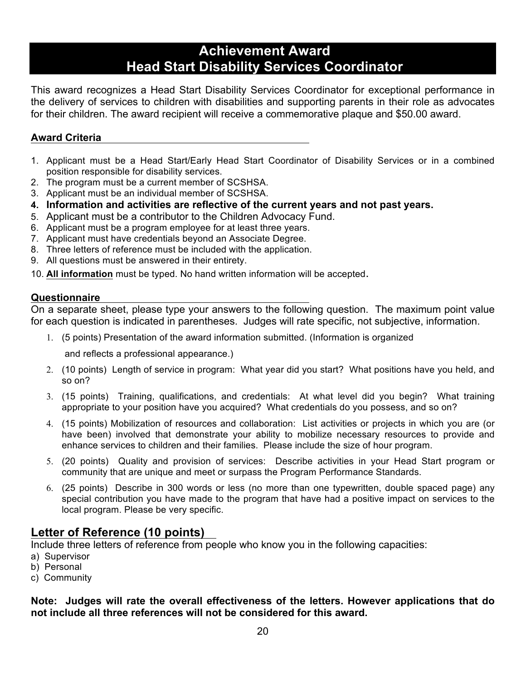## **Achievement Award Head Start Disability Services Coordinator**

This award recognizes a Head Start Disability Services Coordinator for exceptional performance in the delivery of services to children with disabilities and supporting parents in their role as advocates for their children. The award recipient will receive a commemorative plaque and \$50.00 award.

#### **Award Criteria**

- 1. Applicant must be a Head Start/Early Head Start Coordinator of Disability Services or in a combined position responsible for disability services.
- 2. The program must be a current member of SCSHSA.
- 3. Applicant must be an individual member of SCSHSA.
- **4. Information and activities are reflective of the current years and not past years.**
- 5. Applicant must be a contributor to the Children Advocacy Fund.
- 6. Applicant must be a program employee for at least three years.
- 7. Applicant must have credentials beyond an Associate Degree.
- 8. Three letters of reference must be included with the application.
- 9. All questions must be answered in their entirety.
- 10. **All information** must be typed. No hand written information will be accepted.

#### **Questionnaire**

On a separate sheet, please type your answers to the following question. The maximum point value for each question is indicated in parentheses. Judges will rate specific, not subjective, information.

1. (5 points) Presentation of the award information submitted. (Information is organized

and reflects a professional appearance.)

- 2. (10 points) Length of service in program: What year did you start? What positions have you held, and so on?
- 3. (15 points) Training, qualifications, and credentials: At what level did you begin? What training appropriate to your position have you acquired? What credentials do you possess, and so on?
- 4. (15 points) Mobilization of resources and collaboration: List activities or projects in which you are (or have been) involved that demonstrate your ability to mobilize necessary resources to provide and enhance services to children and their families. Please include the size of hour program.
- 5. (20 points) Quality and provision of services: Describe activities in your Head Start program or community that are unique and meet or surpass the Program Performance Standards.
- 6. (25 points) Describe in 300 words or less (no more than one typewritten, double spaced page) any special contribution you have made to the program that have had a positive impact on services to the local program. Please be very specific.

### **Letter of Reference (10 points)**

Include three letters of reference from people who know you in the following capacities:

- a) Supervisor
- b) Personal
- c) Community

#### **Note: Judges will rate the overall effectiveness of the letters. However applications that do not include all three references will not be considered for this award.**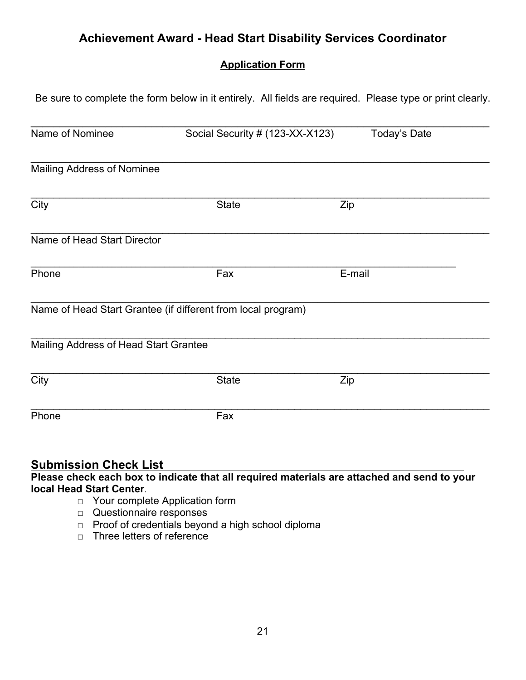## **Achievement Award - Head Start Disability Services Coordinator**

### **Application Form**

Be sure to complete the form below in it entirely. All fields are required. Please type or print clearly.

| Name of Nominee                       | Social Security # (123-XX-X123)                              | Today's Date |
|---------------------------------------|--------------------------------------------------------------|--------------|
|                                       |                                                              |              |
| <b>Mailing Address of Nominee</b>     |                                                              |              |
| $\overline{City}$                     | <b>State</b>                                                 | Zip          |
| Name of Head Start Director           |                                                              |              |
| Phone                                 | Fax                                                          | E-mail       |
|                                       | Name of Head Start Grantee (if different from local program) |              |
| Mailing Address of Head Start Grantee |                                                              |              |
| City                                  | <b>State</b>                                                 | Zip          |
| Phone                                 | Fax                                                          |              |

### **Submission Check List**

**Please check each box to indicate that all required materials are attached and send to your local Head Start Center**.

- □ Your complete Application form
- □ Questionnaire responses
- □ Proof of credentials beyond a high school diploma
- $\neg$  Three letters of reference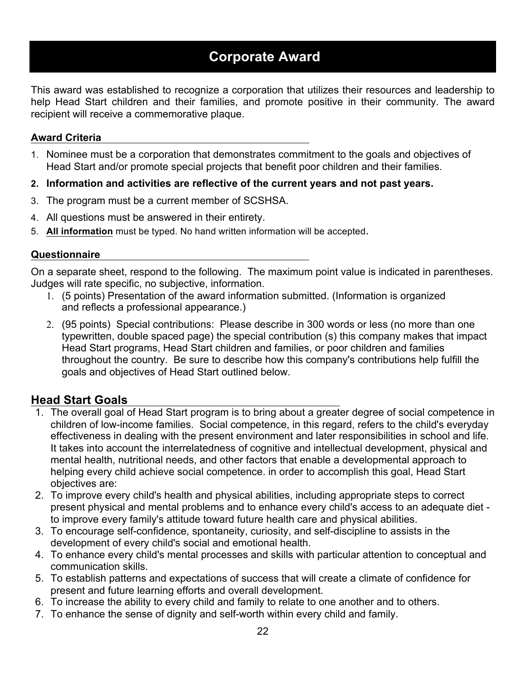## **Corporate Award**

This award was established to recognize a corporation that utilizes their resources and leadership to help Head Start children and their families, and promote positive in their community. The award recipient will receive a commemorative plaque.

#### **Award Criteria**

- 1. Nominee must be a corporation that demonstrates commitment to the goals and objectives of Head Start and/or promote special projects that benefit poor children and their families.
- **2. Information and activities are reflective of the current years and not past years.**
- 3. The program must be a current member of SCSHSA.
- 4. All questions must be answered in their entirety.
- 5. **All information** must be typed. No hand written information will be accepted.

#### **Questionnaire**

On a separate sheet, respond to the following. The maximum point value is indicated in parentheses. Judges will rate specific, no subjective, information.

- 1. (5 points) Presentation of the award information submitted. (Information is organized and reflects a professional appearance.)
- 2. (95 points) Special contributions: Please describe in 300 words or less (no more than one typewritten, double spaced page) the special contribution (s) this company makes that impact Head Start programs, Head Start children and families, or poor children and families throughout the country. Be sure to describe how this company's contributions help fulfill the goals and objectives of Head Start outlined below.

### **Head Start Goals**

- 1. The overall goal of Head Start program is to bring about a greater degree of social competence in children of low-income families. Social competence, in this regard, refers to the child's everyday effectiveness in dealing with the present environment and later responsibilities in school and life. It takes into account the interrelatedness of cognitive and intellectual development, physical and mental health, nutritional needs, and other factors that enable a developmental approach to helping every child achieve social competence. in order to accomplish this goal, Head Start objectives are:
- 2. To improve every child's health and physical abilities, including appropriate steps to correct present physical and mental problems and to enhance every child's access to an adequate diet to improve every family's attitude toward future health care and physical abilities.
- 3. To encourage self-confidence, spontaneity, curiosity, and self-discipline to assists in the development of every child's social and emotional health.
- 4. To enhance every child's mental processes and skills with particular attention to conceptual and communication skills.
- 5. To establish patterns and expectations of success that will create a climate of confidence for present and future learning efforts and overall development.
- 6. To increase the ability to every child and family to relate to one another and to others.
- 7. To enhance the sense of dignity and self-worth within every child and family.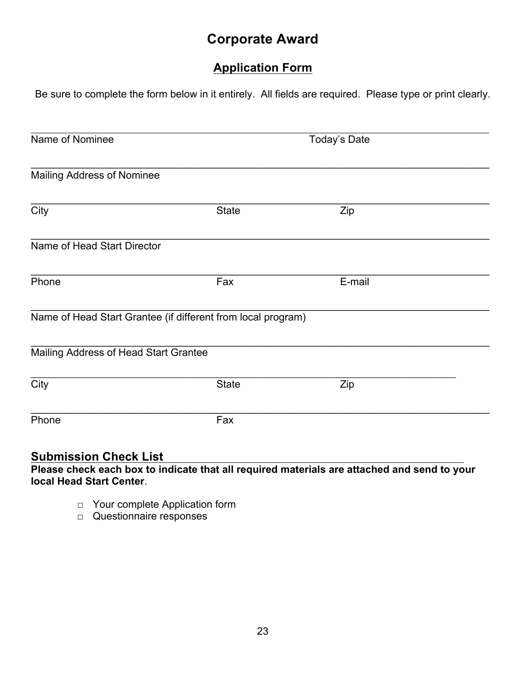## **Corporate Award**

## **Application Form**

Be sure to complete the form below in it entirely. All fields are required. Please type or print clearly.

|              | Today's Date                                          |                                                                     |
|--------------|-------------------------------------------------------|---------------------------------------------------------------------|
|              |                                                       |                                                                     |
|              |                                                       |                                                                     |
|              |                                                       |                                                                     |
|              |                                                       |                                                                     |
| Fax          | E-mail                                                |                                                                     |
|              |                                                       |                                                                     |
|              |                                                       |                                                                     |
| <b>State</b> | Zip                                                   |                                                                     |
| Fax          |                                                       |                                                                     |
|              | <b>State</b><br>Mailing Address of Head Start Grantee | Zip<br>Name of Head Start Grantee (if different from local program) |

### **Submission Check List**

**Please check each box to indicate that all required materials are attached and send to your local Head Start Center**.

- □ Your complete Application form
- □ Questionnaire responses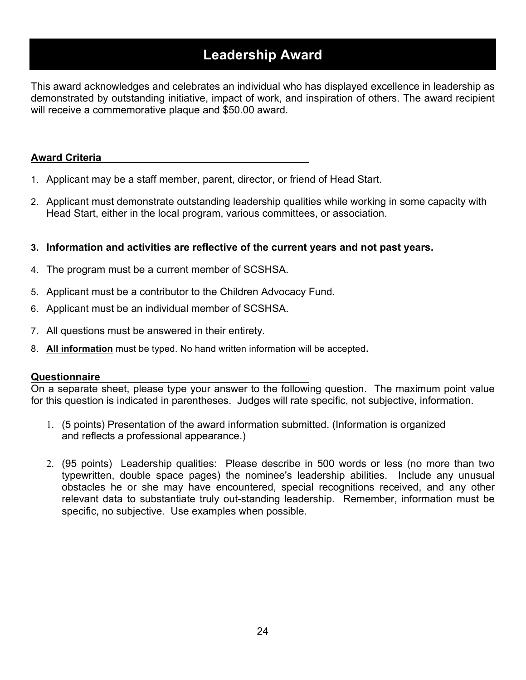## **Leadership Award**

This award acknowledges and celebrates an individual who has displayed excellence in leadership as demonstrated by outstanding initiative, impact of work, and inspiration of others. The award recipient will receive a commemorative plaque and \$50.00 award.

#### **Award Criteria**

- 1. Applicant may be a staff member, parent, director, or friend of Head Start.
- 2. Applicant must demonstrate outstanding leadership qualities while working in some capacity with Head Start, either in the local program, various committees, or association.
- **3. Information and activities are reflective of the current years and not past years.**
- 4. The program must be a current member of SCSHSA.
- 5. Applicant must be a contributor to the Children Advocacy Fund.
- 6. Applicant must be an individual member of SCSHSA.
- 7. All questions must be answered in their entirety.
- 8. **All information** must be typed. No hand written information will be accepted.

#### **Questionnaire**

On a separate sheet, please type your answer to the following question. The maximum point value for this question is indicated in parentheses. Judges will rate specific, not subjective, information.

- 1. (5 points) Presentation of the award information submitted. (Information is organized and reflects a professional appearance.)
- 2. (95 points) Leadership qualities: Please describe in 500 words or less (no more than two typewritten, double space pages) the nominee's leadership abilities. Include any unusual obstacles he or she may have encountered, special recognitions received, and any other relevant data to substantiate truly out-standing leadership. Remember, information must be specific, no subjective. Use examples when possible.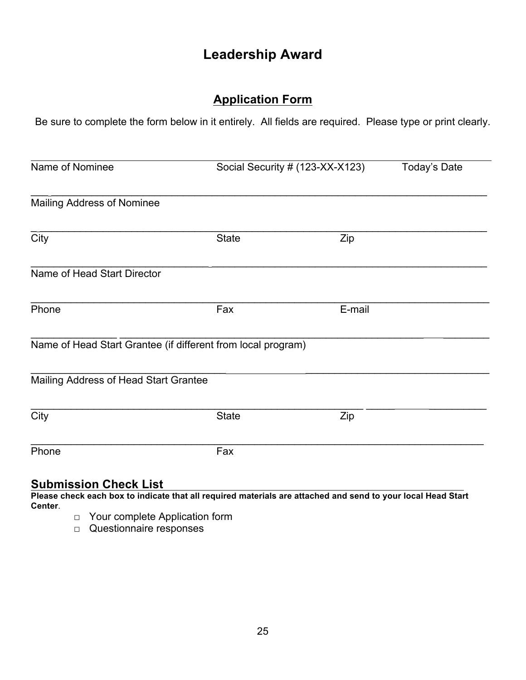## **Leadership Award**

## **Application Form**

Be sure to complete the form below in it entirely. All fields are required. Please type or print clearly.

| Name of Nominee                                              |              | Social Security # (123-XX-X123) |  |
|--------------------------------------------------------------|--------------|---------------------------------|--|
| <b>Mailing Address of Nominee</b>                            |              |                                 |  |
| City                                                         | <b>State</b> | Zip                             |  |
| Name of Head Start Director                                  |              |                                 |  |
| Phone                                                        | Fax          | E-mail                          |  |
| Name of Head Start Grantee (if different from local program) |              |                                 |  |
| Mailing Address of Head Start Grantee                        |              |                                 |  |
| City                                                         | <b>State</b> | Zip                             |  |
| Phone                                                        | Fax          |                                 |  |

## **Submission Check List**

**Please check each box to indicate that all required materials are attached and send to your local Head Start Center**.

- □ Your complete Application form
- □ Questionnaire responses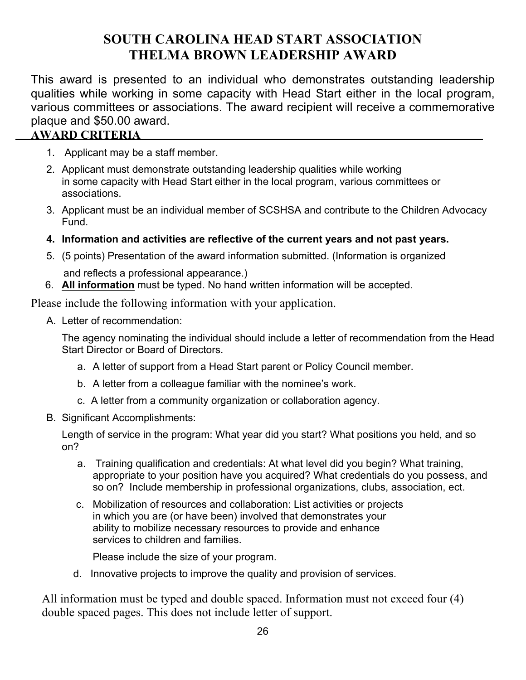## **SOUTH CAROLINA HEAD START ASSOCIATION THELMA BROWN LEADERSHIP AWARD**

This award is presented to an individual who demonstrates outstanding leadership qualities while working in some capacity with Head Start either in the local program, various committees or associations. The award recipient will receive a commemorative plaque and \$50.00 award.

### **AWARD CRITERIA**

- 1. Applicant may be a staff member.
- 2. Applicant must demonstrate outstanding leadership qualities while working in some capacity with Head Start either in the local program, various committees or associations.
- 3. Applicant must be an individual member of SCSHSA and contribute to the Children Advocacy Fund.
- **4. Information and activities are reflective of the current years and not past years.**
- 5. (5 points) Presentation of the award information submitted. (Information is organized and reflects a professional appearance.)
- 6. **All information** must be typed. No hand written information will be accepted.

Please include the following information with your application.

A. Letter of recommendation:

The agency nominating the individual should include a letter of recommendation from the Head Start Director or Board of Directors.

- a. A letter of support from a Head Start parent or Policy Council member.
- b. A letter from a colleague familiar with the nominee's work.
- c. A letter from a community organization or collaboration agency.
- B. Significant Accomplishments:

Length of service in the program: What year did you start? What positions you held, and so on?

- a. Training qualification and credentials: At what level did you begin? What training, appropriate to your position have you acquired? What credentials do you possess, and so on? Include membership in professional organizations, clubs, association, ect.
- c. Mobilization of resources and collaboration: List activities or projects in which you are (or have been) involved that demonstrates your ability to mobilize necessary resources to provide and enhance services to children and families.

Please include the size of your program.

d. Innovative projects to improve the quality and provision of services.

All information must be typed and double spaced. Information must not exceed four (4) double spaced pages. This does not include letter of support.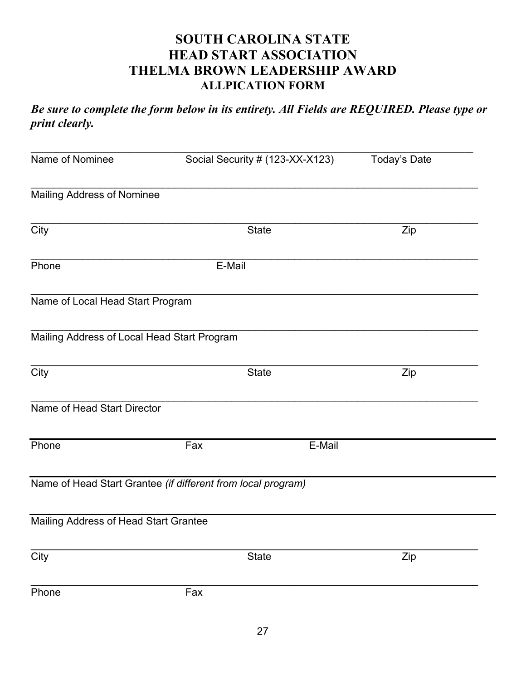## **SOUTH CAROLINA STATE HEAD START ASSOCIATION THELMA BROWN LEADERSHIP AWARD ALLPICATION FORM**

*Be sure to complete the form below in its entirety. All Fields are REQUIRED. Please type or print clearly.*

| Name of Nominee                             | Social Security # (123-XX-X123)                              | Today's Date |
|---------------------------------------------|--------------------------------------------------------------|--------------|
| Mailing Address of Nominee                  |                                                              |              |
| City                                        | <b>State</b>                                                 | Zip          |
| Phone                                       | E-Mail                                                       |              |
| Name of Local Head Start Program            |                                                              |              |
| Mailing Address of Local Head Start Program |                                                              |              |
| City                                        | <b>State</b>                                                 | Zip          |
| Name of Head Start Director                 |                                                              |              |
| Phone                                       | Fax<br>E-Mail                                                |              |
|                                             | Name of Head Start Grantee (if different from local program) |              |
| Mailing Address of Head Start Grantee       |                                                              |              |
| $\overline{C}$ ity                          | <b>State</b>                                                 | Zip          |
| Phone                                       | Fax                                                          |              |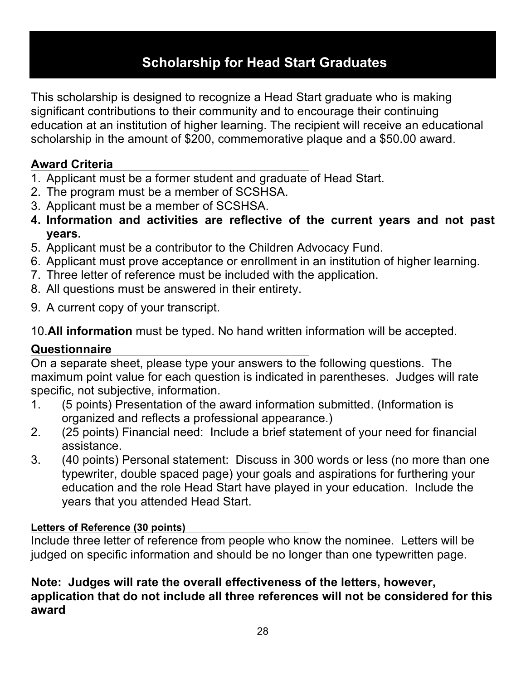## **Scholarship for Head Start Graduates**

This scholarship is designed to recognize a Head Start graduate who is making significant contributions to their community and to encourage their continuing education at an institution of higher learning. The recipient will receive an educational scholarship in the amount of \$200, commemorative plaque and a \$50.00 award.

## **Award Criteria**

- 1. Applicant must be a former student and graduate of Head Start.
- 2. The program must be a member of SCSHSA.
- 3. Applicant must be a member of SCSHSA.
- **4. Information and activities are reflective of the current years and not past years.**
- 5. Applicant must be a contributor to the Children Advocacy Fund.
- 6. Applicant must prove acceptance or enrollment in an institution of higher learning.
- 7. Three letter of reference must be included with the application.
- 8. All questions must be answered in their entirety.
- 9. A current copy of your transcript.

10.**All information** must be typed. No hand written information will be accepted.

## **Questionnaire**

On a separate sheet, please type your answers to the following questions. The maximum point value for each question is indicated in parentheses. Judges will rate specific, not subjective, information.

- 1. (5 points) Presentation of the award information submitted. (Information is organized and reflects a professional appearance.)
- 2. (25 points) Financial need: Include a brief statement of your need for financial assistance.
- 3. (40 points) Personal statement: Discuss in 300 words or less (no more than one typewriter, double spaced page) your goals and aspirations for furthering your education and the role Head Start have played in your education. Include the years that you attended Head Start.

### **Letters of Reference (30 points)**

Include three letter of reference from people who know the nominee. Letters will be judged on specific information and should be no longer than one typewritten page.

## **Note: Judges will rate the overall effectiveness of the letters, however, application that do not include all three references will not be considered for this award**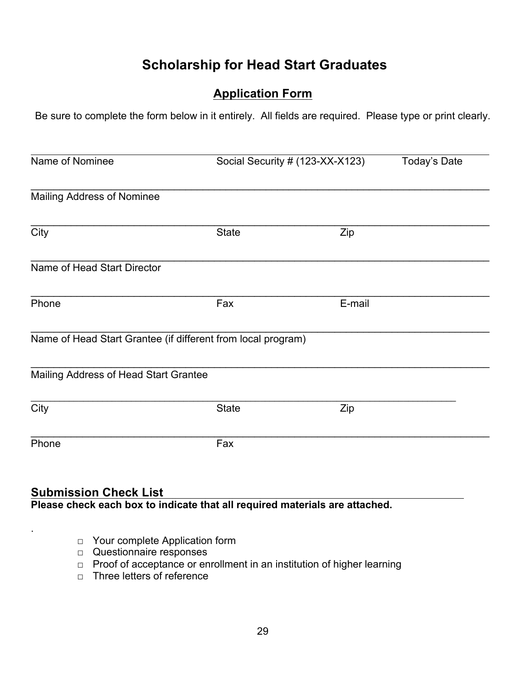## **Scholarship for Head Start Graduates**

## **Application Form**

Be sure to complete the form below in it entirely. All fields are required. Please type or print clearly.

| Name of Nominee                       |                                                              | Social Security # (123-XX-X123) |  |  |  |
|---------------------------------------|--------------------------------------------------------------|---------------------------------|--|--|--|
| <b>Mailing Address of Nominee</b>     |                                                              |                                 |  |  |  |
| $\overline{City}$                     | <b>State</b>                                                 | Zip                             |  |  |  |
| Name of Head Start Director           |                                                              |                                 |  |  |  |
| Phone                                 | Fax                                                          | E-mail                          |  |  |  |
|                                       | Name of Head Start Grantee (if different from local program) |                                 |  |  |  |
| Mailing Address of Head Start Grantee |                                                              |                                 |  |  |  |
| $\overline{\text{City}}$              | <b>State</b>                                                 | Zip                             |  |  |  |
| Phone                                 | Fax                                                          |                                 |  |  |  |

### **Submission Check List Please check each box to indicate that all required materials are attached.**

- □ Your complete Application form
- □ Questionnaire responses

.

- □ Proof of acceptance or enrollment in an institution of higher learning
- □ Three letters of reference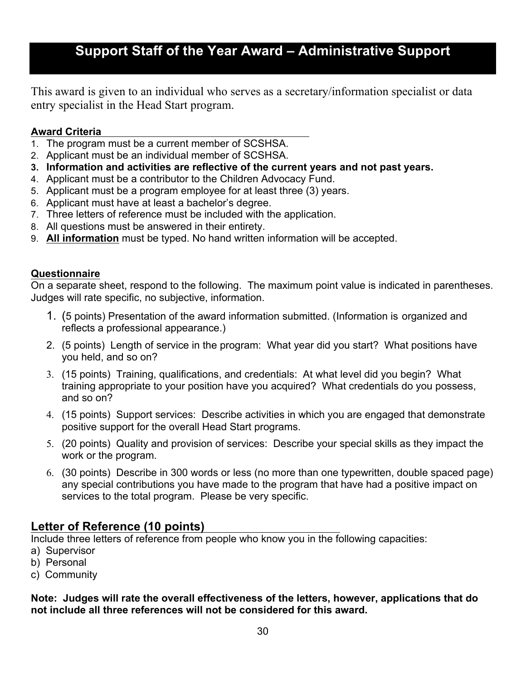This award is given to an individual who serves as a secretary/information specialist or data entry specialist in the Head Start program.

#### **Award Criteria**

- 1. The program must be a current member of SCSHSA.
- 2. Applicant must be an individual member of SCSHSA.
- **3. Information and activities are reflective of the current years and not past years.**
- 4. Applicant must be a contributor to the Children Advocacy Fund.
- 5. Applicant must be a program employee for at least three (3) years.
- 6. Applicant must have at least a bachelor's degree.
- 7. Three letters of reference must be included with the application.
- 8. All questions must be answered in their entirety.
- 9. **All information** must be typed. No hand written information will be accepted.

#### **Questionnaire**

On a separate sheet, respond to the following. The maximum point value is indicated in parentheses. Judges will rate specific, no subjective, information.

- 1. (5 points) Presentation of the award information submitted. (Information is organized and reflects a professional appearance.)
- 2. (5 points) Length of service in the program: What year did you start? What positions have you held, and so on?
- 3. (15 points) Training, qualifications, and credentials: At what level did you begin? What training appropriate to your position have you acquired? What credentials do you possess, and so on?
- 4. (15 points) Support services: Describe activities in which you are engaged that demonstrate positive support for the overall Head Start programs.
- 5. (20 points) Quality and provision of services: Describe your special skills as they impact the work or the program.
- 6. (30 points) Describe in 300 words or less (no more than one typewritten, double spaced page) any special contributions you have made to the program that have had a positive impact on services to the total program. Please be very specific.

## **Letter of Reference (10 points)**

Include three letters of reference from people who know you in the following capacities:

- a) Supervisor
- b) Personal
- c) Community

#### **Note: Judges will rate the overall effectiveness of the letters, however, applications that do not include all three references will not be considered for this award.**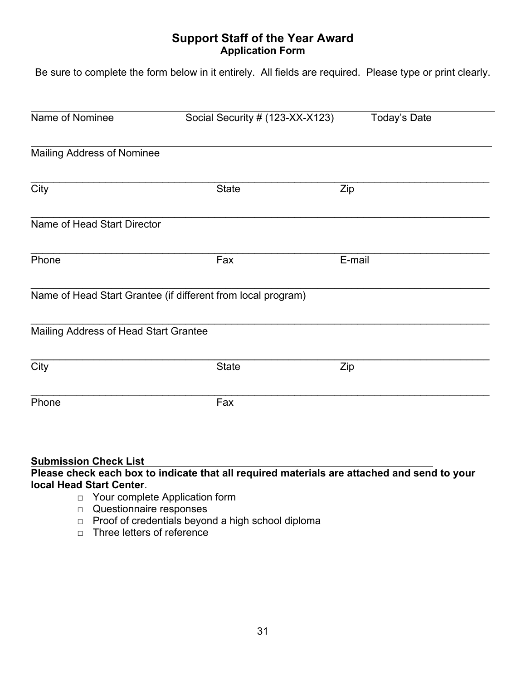### **Support Staff of the Year Award Application Form**

Be sure to complete the form below in it entirely. All fields are required. Please type or print clearly.

| Name of Nominee                       | Social Security # (123-XX-X123)<br>Today's Date              |        |  |
|---------------------------------------|--------------------------------------------------------------|--------|--|
| <b>Mailing Address of Nominee</b>     |                                                              |        |  |
| City                                  | <b>State</b><br>Zip                                          |        |  |
| Name of Head Start Director           |                                                              |        |  |
| Phone                                 | Fax                                                          | E-mail |  |
|                                       | Name of Head Start Grantee (if different from local program) |        |  |
| Mailing Address of Head Start Grantee |                                                              |        |  |
| City                                  | <b>State</b>                                                 | Zip    |  |
| Phone                                 | Fax                                                          |        |  |
|                                       |                                                              |        |  |

#### **Submission Check List**

**Please check each box to indicate that all required materials are attached and send to your local Head Start Center**.

- □ Your complete Application form
- □ Questionnaire responses
- □ Proof of credentials beyond a high school diploma
- $\neg$  Three letters of reference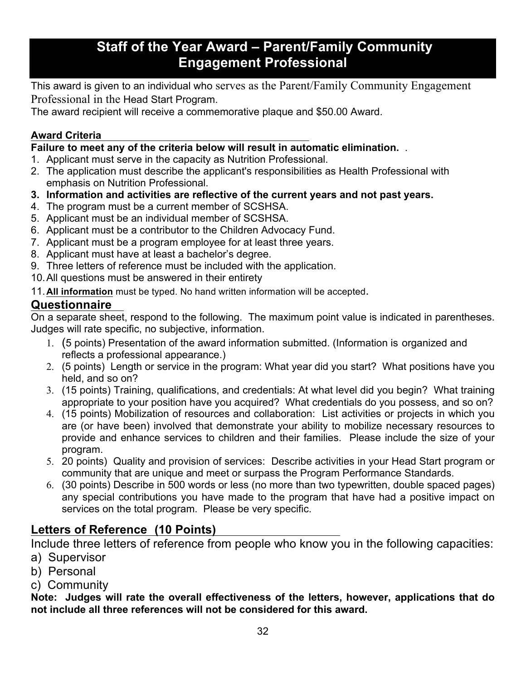## **Staff of the Year Award – Parent/Family Community Engagement Professional**

This award is given to an individual who serves as the Parent/Family Community Engagement Professional in the Head Start Program.

The award recipient will receive a commemorative plaque and \$50.00 Award.

### **Award Criteria**

**Failure to meet any of the criteria below will result in automatic elimination.** .

- 1. Applicant must serve in the capacity as Nutrition Professional.
- 2. The application must describe the applicant's responsibilities as Health Professional with emphasis on Nutrition Professional.
- **3. Information and activities are reflective of the current years and not past years.**
- 4. The program must be a current member of SCSHSA.
- 5. Applicant must be an individual member of SCSHSA.
- 6. Applicant must be a contributor to the Children Advocacy Fund.
- 7. Applicant must be a program employee for at least three years.
- 8. Applicant must have at least a bachelor's degree.
- 9. Three letters of reference must be included with the application.
- 10.All questions must be answered in their entirety

11.**All information** must be typed. No hand written information will be accepted.

## **Questionnaire**

On a separate sheet, respond to the following. The maximum point value is indicated in parentheses. Judges will rate specific, no subjective, information.

- 1. (5 points) Presentation of the award information submitted. (Information is organized and reflects a professional appearance.)
- 2. (5 points) Length or service in the program: What year did you start? What positions have you held, and so on?
- 3. (15 points) Training, qualifications, and credentials: At what level did you begin? What training appropriate to your position have you acquired? What credentials do you possess, and so on?
- 4. (15 points) Mobilization of resources and collaboration: List activities or projects in which you are (or have been) involved that demonstrate your ability to mobilize necessary resources to provide and enhance services to children and their families. Please include the size of your program.
- 5. 20 points) Quality and provision of services: Describe activities in your Head Start program or community that are unique and meet or surpass the Program Performance Standards.
- 6. (30 points) Describe in 500 words or less (no more than two typewritten, double spaced pages) any special contributions you have made to the program that have had a positive impact on services on the total program. Please be very specific.

## **Letters of Reference (10 Points)**

Include three letters of reference from people who know you in the following capacities:

- a) Supervisor
- b) Personal
- c) Community

**Note: Judges will rate the overall effectiveness of the letters, however, applications that do not include all three references will not be considered for this award.**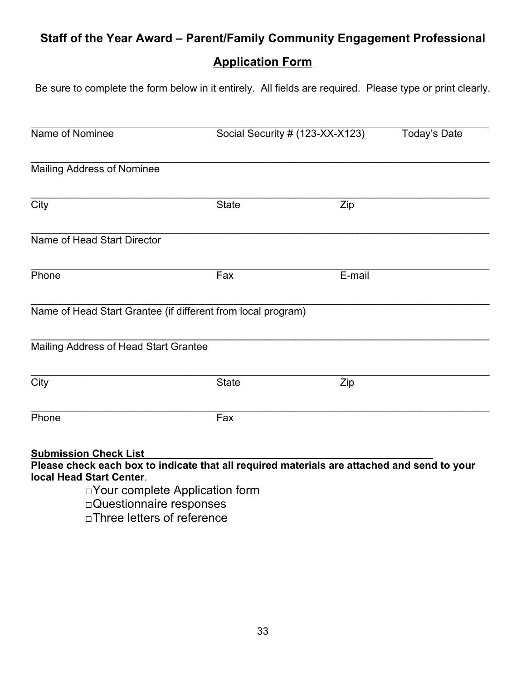## **Staff of the Year Award – Parent/Family Community Engagement Professional**

## **Application Form**

Be sure to complete the form below in it entirely. All fields are required. Please type or print clearly.

| Name of Nominee                                          |                                                                                                                                      | Social Security # (123-XX-X123) | Today's Date |
|----------------------------------------------------------|--------------------------------------------------------------------------------------------------------------------------------------|---------------------------------|--------------|
| <b>Mailing Address of Nominee</b>                        |                                                                                                                                      |                                 |              |
| City                                                     | <b>State</b>                                                                                                                         | Zip                             |              |
| Name of Head Start Director                              |                                                                                                                                      |                                 |              |
| Phone                                                    | Fax                                                                                                                                  | E-mail                          |              |
|                                                          | Name of Head Start Grantee (if different from local program)                                                                         |                                 |              |
| Mailing Address of Head Start Grantee                    |                                                                                                                                      |                                 |              |
| City                                                     | <b>State</b>                                                                                                                         | Zip                             |              |
| Phone                                                    | Fax                                                                                                                                  |                                 |              |
| <b>Submission Check List</b><br>local Head Start Center. | Please check each box to indicate that all required materials are attached and send to your<br>$\Box$ Your complete Application form |                                 |              |

□Questionnaire responses

□Three letters of reference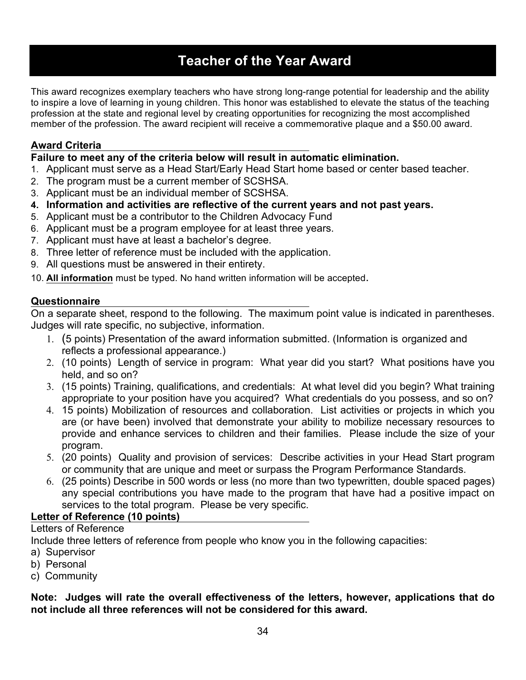## **Teacher of the Year Award**

This award recognizes exemplary teachers who have strong long-range potential for leadership and the ability to inspire a love of learning in young children. This honor was established to elevate the status of the teaching profession at the state and regional level by creating opportunities for recognizing the most accomplished member of the profession. The award recipient will receive a commemorative plaque and a \$50.00 award.

#### **Award Criteria**

**Failure to meet any of the criteria below will result in automatic elimination.** 

- 1. Applicant must serve as a Head Start/Early Head Start home based or center based teacher.
- 2. The program must be a current member of SCSHSA.
- 3. Applicant must be an individual member of SCSHSA.
- **4. Information and activities are reflective of the current years and not past years.**
- 5. Applicant must be a contributor to the Children Advocacy Fund
- 6. Applicant must be a program employee for at least three years.
- 7. Applicant must have at least a bachelor's degree.
- 8. Three letter of reference must be included with the application.
- 9. All questions must be answered in their entirety.
- 10. **All information** must be typed. No hand written information will be accepted.

#### **Questionnaire**

On a separate sheet, respond to the following. The maximum point value is indicated in parentheses. Judges will rate specific, no subjective, information.

- 1. (5 points) Presentation of the award information submitted. (Information is organized and reflects a professional appearance.)
- 2. (10 points) Length of service in program: What year did you start? What positions have you held, and so on?
- 3. (15 points) Training, qualifications, and credentials: At what level did you begin? What training appropriate to your position have you acquired? What credentials do you possess, and so on?
- 4. 15 points) Mobilization of resources and collaboration. List activities or projects in which you are (or have been) involved that demonstrate your ability to mobilize necessary resources to provide and enhance services to children and their families. Please include the size of your program.
- 5. (20 points) Quality and provision of services: Describe activities in your Head Start program or community that are unique and meet or surpass the Program Performance Standards.
- 6. (25 points) Describe in 500 words or less (no more than two typewritten, double spaced pages) any special contributions you have made to the program that have had a positive impact on services to the total program. Please be very specific.

#### **Letter of Reference (10 points)**

#### Letters of Reference

Include three letters of reference from people who know you in the following capacities:

- a) Supervisor
- b) Personal
- c) Community

#### **Note: Judges will rate the overall effectiveness of the letters, however, applications that do not include all three references will not be considered for this award.**